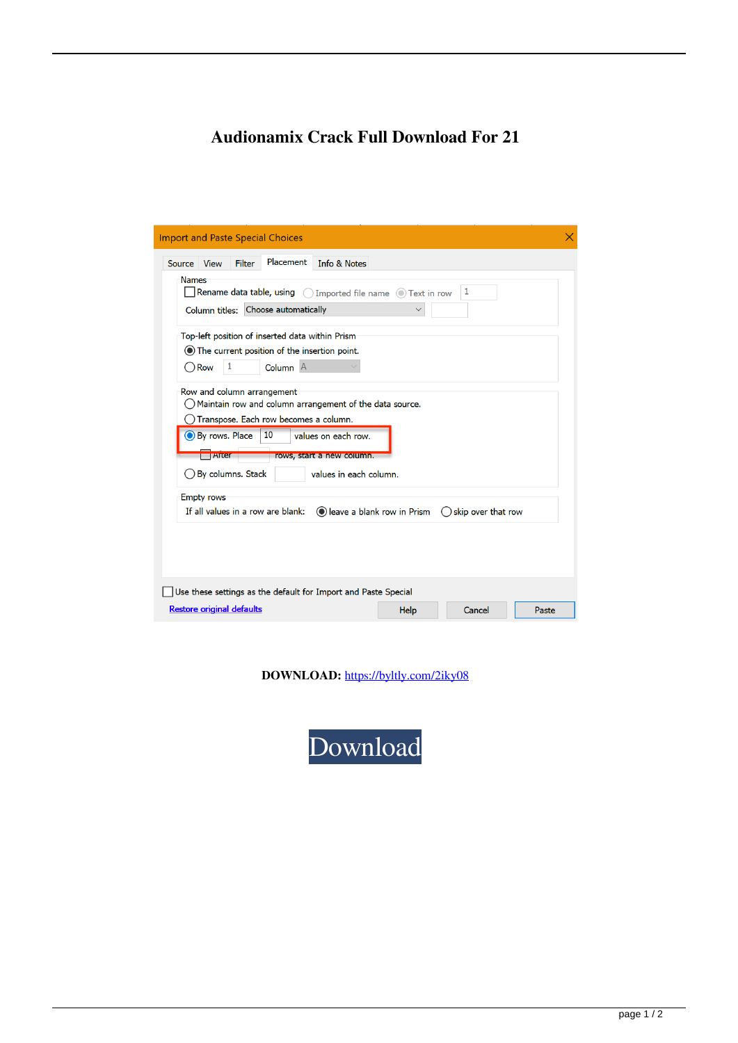## **Audionamix Crack Full Download For 21**

| <b>Import and Paste Special Choices</b>                                                                                                                                                                                                                                                                                                                                                                                                                                                                                                                                                                                                                                                                                                          |  |
|--------------------------------------------------------------------------------------------------------------------------------------------------------------------------------------------------------------------------------------------------------------------------------------------------------------------------------------------------------------------------------------------------------------------------------------------------------------------------------------------------------------------------------------------------------------------------------------------------------------------------------------------------------------------------------------------------------------------------------------------------|--|
| <b>Placement</b><br>Info & Notes<br><b>Filter</b><br>Source View<br><b>Names</b><br>Rename data table, using (C) Imported file name (C) Text in row<br>1<br>Column titles: Choose automatically<br>Top-left position of inserted data within Prism<br>◯ The current position of the insertion point.<br>1<br>Column <sup>A</sup><br>$\bigcirc$ Row<br>Row and column arrangement<br>Maintain row and column arrangement of the data source.<br>Transpose. Each row becomes a column.<br>By rows. Place<br>10<br>values on each row.<br>rows, start a new column.<br><b>TATter</b><br>◯ By columns. Stack<br>values in each column.<br><b>Empty rows</b><br>If all values in a row are blank:<br>leave a blank row in Prism<br>skip over that row |  |
| Use these settings as the default for Import and Paste Special                                                                                                                                                                                                                                                                                                                                                                                                                                                                                                                                                                                                                                                                                   |  |
| <b>Restore original defaults</b><br>Help<br>Cancel<br>Paste                                                                                                                                                                                                                                                                                                                                                                                                                                                                                                                                                                                                                                                                                      |  |

**DOWNLOAD:** <https://byltly.com/2iky08>